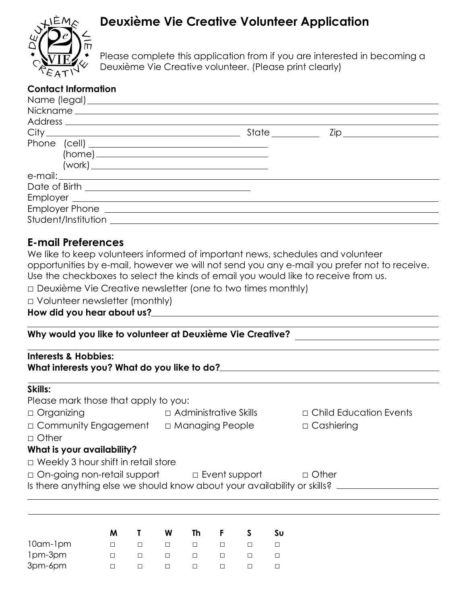# **Deuxième Vie Creative Volunteer Application**



Please complete this application from if you are interested in becoming a Deuxième Vie Creative volunteer. (Please print clearly)

### **Contact Information**

|                     | State _________ |  |
|---------------------|-----------------|--|
|                     |                 |  |
|                     |                 |  |
|                     |                 |  |
|                     |                 |  |
|                     |                 |  |
|                     |                 |  |
|                     |                 |  |
| Student/Institution |                 |  |

# **E-mail Preferences**

| We like to keep volunteers informed of important news, schedules and volunteer              |
|---------------------------------------------------------------------------------------------|
| opportunities by e-mail, however we will not send you any e-mail you prefer not to receive. |
| Use the checkboxes to select the kinds of email you would like to receive from us.          |
| $\Box$ Dauviàme Vie Creative nouglatter (and to two times monthly)                          |

□ Deuxième Vie Creative newsletter (one to two times monthly)

□ Volunteer newsletter (monthly)

**How did you hear about us?**

#### **Why would you like to volunteer at Deuxième Vie Creative?**

| <b>Interests &amp; Hobbies:</b><br>What interests you? What do you like to do? |                              |                               |  |  |  |
|--------------------------------------------------------------------------------|------------------------------|-------------------------------|--|--|--|
| Skills:                                                                        |                              |                               |  |  |  |
| Please mark those that apply to you:                                           |                              |                               |  |  |  |
| $\Box$ Organizing                                                              | $\Box$ Administrative Skills | $\Box$ Child Education Events |  |  |  |
| □ Community Engagement                                                         | □ Managing People            | $\Box$ Cashiering             |  |  |  |

□ Other

# **What is your availability?**

□ Weekly 3 hour shift in retail store

□ On-going non-retail support □ Event support □ Other

Is there anything else we should know about your availability or skills?

|                 | м | W      | Th     | Е. | Sυ |
|-----------------|---|--------|--------|----|----|
| $10$ am- $1$ pm |   | $\Box$ | $\Box$ |    |    |
| 1pm-3pm         |   | $\Box$ | $\Box$ |    |    |
| 3pm-6pm         |   |        |        |    |    |
|                 |   |        |        |    |    |